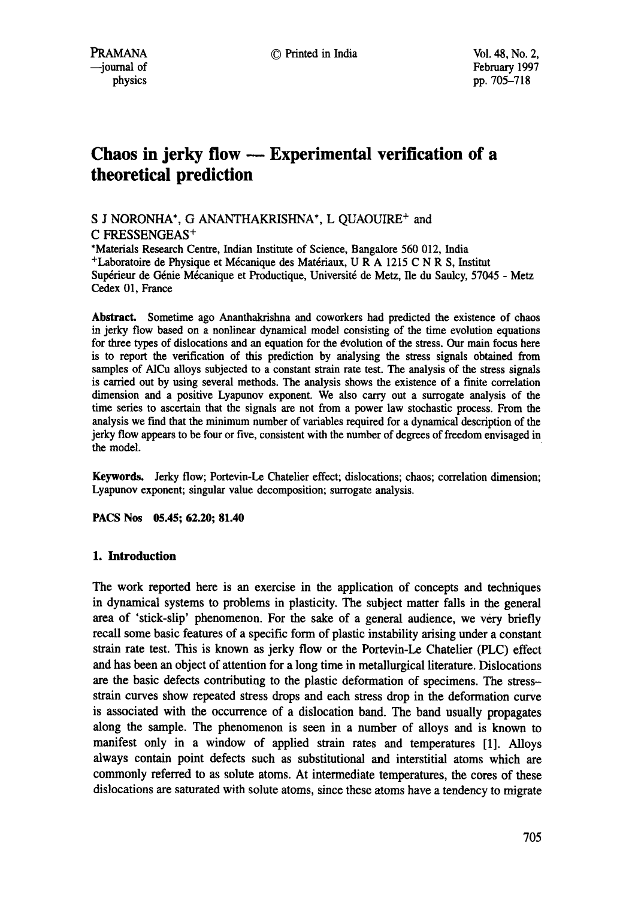# **Chaos in jerky flow -- Experimental verification of a theoretical prediction**

# S J NORONHA\*, G ANANTHAKRISHNA\*, L QUAOUIRE<sup>+</sup> and C FRESSENGEAS<sup>+</sup>

\*Materials Research Centre, Indian Institute of Science, Bangalore 560 012, India  $+$ Laboratoire de Physique et Mécanique des Matériaux, U R A 1215 C N R S, Institut Supérieur de Génie Mécanique et Productique, Université de Metz, Ile du Saulcy, 57045 - Metz Cedex 01, France

**Abstract.** Sometime ago Ananthakrishna and coworkers had predicted the existence of chaos in jerky flow based on a nonlinear dynamical model consisting of the time evolution equations for three types of dislocations and an equation for the evolution of the stress. Our main focus here is to report the verification of this prediction by analysing the stress signals obtained from samples of A1Cu alloys subjected to a constant strain rate test. The analysis of the stress signals is carried out by using several methods. The analysis shows the existence of a finite correlation dimension and a positive Lyapunov exponent. We also carry out a surrogate analysis of the time series to ascertain that the signals are not from a power law stochastic process. From the analysis we find that the minimum number of variables required for a dynamical description of the jerky flow appears to be four or five, consistent with the number of degrees of freedom envisaged in the model.

Keywords. Jerky flow; Portevin-Le Chatelier effect; dislocations; chaos; correlation dimension; Lyapunov exponent; singular value decomposition; surrogate analysis.

**PACS Nos 05.45; 62.20; 81.40** 

# **1. Introduction**

The work reported here is an exercise in the application of concepts and techniques in dynamical systems to problems in plasticity. The subject matter falls in the general area of 'stick-slip' phenomenon. For the sake of a general audience, we very briefly recall some basic features of a specific form of plastic instability arising under a constant strain rate test. This is known as jerky flow or the Portevin-Le Chatelier (PLC) effect and has been an object of attention for a long time in metallurgical literature. Dislocations are the basic defects contributing to the plastic deformation of specimens. The stressstrain curves show repeated stress drops and each stress drop in the deformation curve is associated with the occurrence of a dislocation band. The band usually propagates along the sample. The phenomenon is seen in a number of alloys and is known to manifest only in a window of applied strain rates and temperatures [1]. Alloys always contain point defects such as substitutional and interstitial atoms which are commonly referred to as solute atoms. At intermediate temperatures, the cores of these dislocations are saturated with solute atoms, since these atoms have a tendency to migrate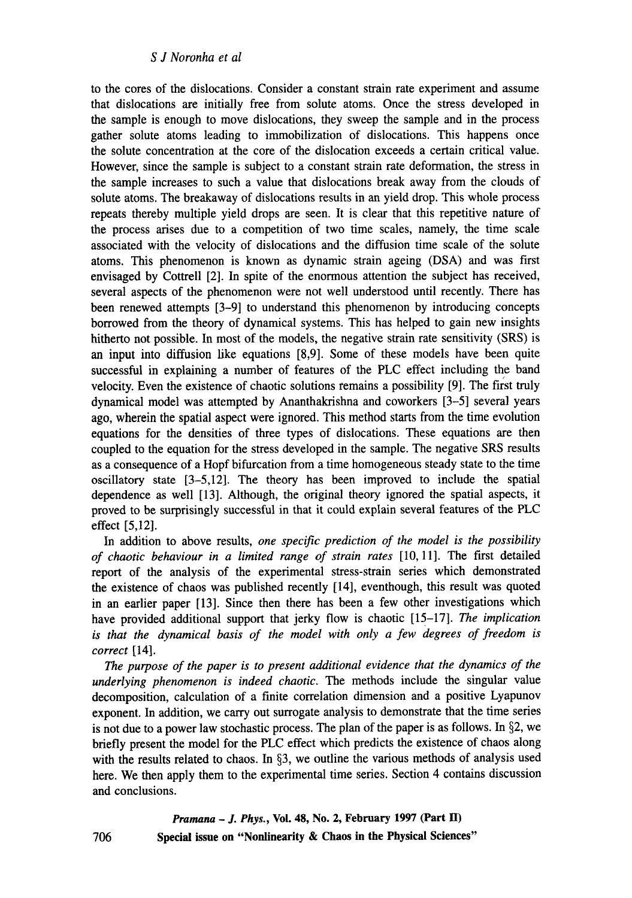to the cores of the dislocations. Consider a constant strain rate experiment and assume that dislocations are initially free from solute atoms. Once the stress developed in the sample is enough to move dislocations, they sweep the sample and in the process gather solute atoms leading to immobilization of dislocations. This happens once the solute concentration at the core of the dislocation exceeds a certain critical value. However, since the sample is subject to a constant strain rate deformation, the stress in the sample increases to such a value that dislocations break away from the clouds of solute atoms. The breakaway of dislocations results in an yield drop. This whole process repeats thereby multiple yield drops are seen. It is clear that this repetitive nature of the process arises due to a competition of two time scales, namely, the time scale associated with the velocity of dislocations and the diffusion time scale of the solute atoms. This phenomenon is known as dynamic strain ageing (DSA) and was first envisaged by Cottrell [2]. In spite of the enormous attention the subject has received, several aspects of the phenomenon were not well understood until recently. There has been renewed attempts [3-9] to understand this phenomenon by introducing concepts borrowed from the theory of dynamical systems. This has helped to gain new insights hitherto not possible. In most of the models, the negative strain rate sensitivity (SRS) is an input into diffusion like equations [8,9]. Some of these models have been quite successful in explaining a number of features of the PLC effect including the band velocity. Even the existence of chaotic solutions remains a possibility [9]. The first truly dynamical model was attempted by Ananthakrishna and coworkers [3-5] several years ago, wherein the spatial aspect were ignored. This method starts from the time evolution equations for the densities of three types of dislocations. These equations are then coupled to the equation for the stress developed in the sample. The negative SRS results as a consequence of a Hopf bifurcation from a time homogeneous steady state to the time oscillatory state [3-5,12]. The theory has been improved to include the spatial dependence as well [13]. Although, the original theory ignored the spatial aspects, it proved to be surprisingly successful in that it could explain several features of the PLC effect [5,12].

In addition to above results, *one specific prediction of the model is the possibility of chaotic behaviour in a limited range of strain rates* [10, 11]. The first detailed report of the analysis of the experimental stress-strain series which demonstrated the existence of chaos was published recently [14], eventhough, this result was quoted in an earlier paper [13]. Since then there has been a few other investigations which have provided additional support that jerky flow is chaotic [15-17]. *The implication*  is that the dynamical basis of the model with only a few degrees of freedom is *correct* [14].

*The purpose of the paper is to present additional evidence that the dynamics of the underlying phenomenon is indeed chaotic. The* methods include the singular value decomposition, calculation of a finite correlation dimension and a positive Lyapunov exponent. In addition, we carry out surrogate analysis to demonstrate that the time series is not due to a power law stochastic process. The plan of the paper is as follows. In  $\S$ 2, we briefly present the model for the PLC effect which predicts the existence of chaos along with the results related to chaos. In  $\S$ 3, we outline the various methods of analysis used **here.** We then apply them to the experimental time series. Section 4 contains discussion and conclusions.

> *Pramana - J. Phys.,* **Vol. 48, No. 2, February 1997 (Part II) Special issue on "Nonlinearity & Chaos in the Physical Sciences"**

706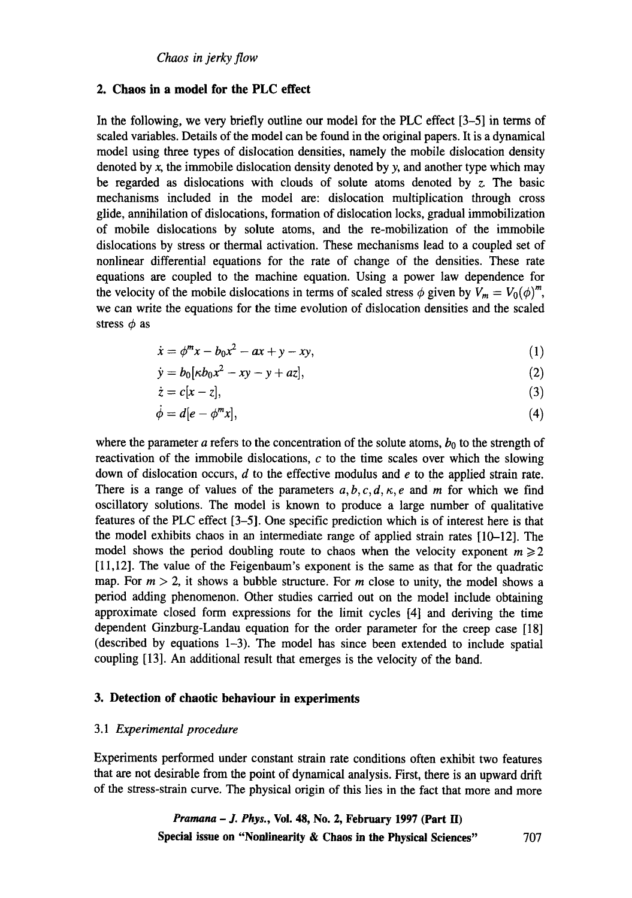### **2. Chaos in a model for the PLC effect**

In the following, we very briefly outline our model for the PLC effect [3-5] in terms of scaled variables. Details of the model can be found in the original papers. It is a dynamical model using three types of dislocation densities, namely the mobile dislocation density denoted by  $x$ , the immobile dislocation density denoted by  $y$ , and another type which may be regarded as dislocations with clouds of solute atoms denoted by  $z$ . The basic mechanisms included in the model are: dislocation multiplication through cross glide, annihilation of dislocations, formation of dislocation locks, gradual immobilization of mobile dislocations by solute atoms, and the re-mobilization of the immobile dislocations by stress or thermal activation. These mechanisms lead to a coupled set of nonlinear differential equations for the rate of change of the densities. These rate equations are coupled to the machine equation. Using a power law dependence for the velocity of the mobile dislocations in terms of scaled stress  $\phi$  given by  $V_m = V_0(\phi)^m$ , we can write the equations for the time evolution of dislocation densities and the scaled stress  $\phi$  as

$$
\dot{x} = \phi^m x - b_0 x^2 - ax + y - xy,\tag{1}
$$

$$
\dot{y} = b_0 [\kappa b_0 x^2 - xy - y + az], \tag{2}
$$

$$
\dot{z} = c[x - z],\tag{3}
$$

$$
\dot{\phi} = d[e - \phi^m x],\tag{4}
$$

where the parameter a refers to the concentration of the solute atoms,  $b_0$  to the strength of reactivation of the immobile dislocations,  $c$  to the time scales over which the slowing down of dislocation occurs,  $d$  to the effective modulus and  $e$  to the applied strain rate. There is a range of values of the parameters  $a, b, c, d, \kappa, e$  and m for which we find oscillatory solutions. The model is known to produce a large number of qualitative features of the PLC effect [3-5]. One specific prediction which is of interest here is that the model exhibits chaos in an intermediate range of applied strain rates [10-12]. The model shows the period doubling route to chaos when the velocity exponent  $m \ge 2$ [11,12]. The value of the Feigenbaum's exponent is the same as that for the quadratic map. For  $m > 2$ , it shows a bubble structure. For m close to unity, the model shows a period adding phenomenon. Other studies carried out on the model include obtaining approximate closed form expressions for the limit cycles [4] and deriving the time dependent Ginzburg-Landau equation for the order parameter for the creep case [18] (described by equations 1-3). The model has since been extended to include spatial coupling [13]. An additional result that emerges is the velocity of the band.

# **3. Detection of chaotic behaviour in experiments**

#### 3.1 *Experimental procedure*

Experiments performed under constant strain rate conditions often exhibit two features that are not desirable from the point of dynamical analysis. First, there is an upward drift of the stress-strain curve. The physical origin of this lies in the fact that more and more

> *Pramana - J. Phys.,* **Vol. 48, No. 2, February 1997 (Part II) Special issue on "Nonlinearity & Chaos in the Physical Sciences" 707**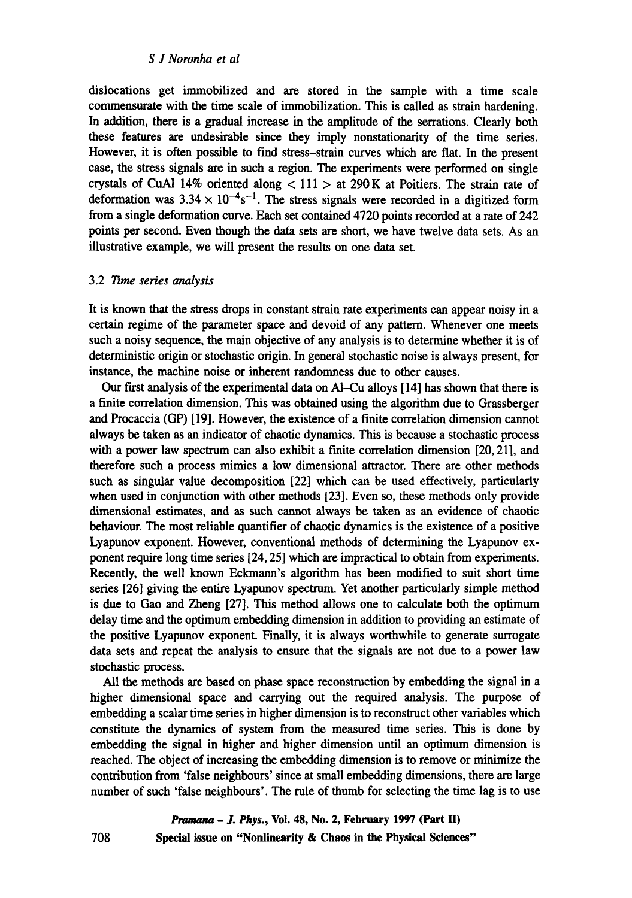## *S J Noronha et al*

dislocations get immobilized and are stored in the sample with a time scale commensurate with the time scale of immobilization. This is called as strain hardening. In addition, there is a gradual increase in the amplitude of the serrations. Clearly both these features are undesirable since they imply nonstationarity of the time series. However, it is often possible to find stress-strain curves which are flat. In the present case, the stress signals are in such a region. The experiments were performed on single crystals of CuAl 14% oriented along  $< 111 >$  at 290 K at Poitiers. The strain rate of deformation was  $3.34 \times 10^{-4}$ s<sup>-1</sup>. The stress signals were recorded in a digitized form from a single deformation curve. Each set contained 4720 points recorded at a rate of 242 points per second. Even though the data sets are short, we have twelve data sets. As an illustrative example, we will present the results on one data set.

#### 3.2 *~me series analysis*

It is known that the stress drops in constant strain rate experiments can appear noisy in a certain regime of the parameter space and devoid of any pattern. Whenever one meets such a noisy sequence, the main objective of any analysis is to determine whether it is of deterministic origin or stochastic origin. In general stochastic noise is always present, for instance, the machine noise or inherent randomness due to other causes.

Our first analysis of the experimental data on Al-Cu alloys [14] has shown that there is a finite correlation dimension. This was obtained using the algorithm due to Grassberger and Procaccia (GP) [19]. However, the existence of a finite correlation dimension cannot always be taken as an indicator of chaotic dynamics. This is because a stochastic process with a power law spectrum can also exhibit a finite correlation dimension [20, 21], and therefore such a process mimics a low dimensional attractor. There are other methods such as singular value decomposition [22] which can be used effectively, particularly when used in conjunction with other methods [23]. Even so, these methods only provide dimensional estimates, and as such cannot always be taken as an evidence of chaotic behaviour. The most reliable quantifier of chaotic dynamics is the existence of a positive Lyapunov exponent. However, conventional methods of determining the Lyapunov exponent require long time series [24, 25] which are impractical to obtain from experiments. Recently, the well known Eckmann's algorithm has been modified to suit short time series [26] giving the entire Lyapunov spectrum. Yet another particularly simple method is due to Gao and Zheng [27]. This method allows one to calculate both the optimum delay time and the optimum embedding dimension in addition to providing an estimate of the positive Lyapunov exponent. Finally, it is always worthwhile to generate surrogate data sets and repeat the analysis to ensure that the signals are not due to a power law stochastic process.

All the methods are based on phase space reconstruction by embedding the signal in a higher dimensional space and carrying out the required analysis. The purpose of embedding a scalar time series in higher dimension is to reconstruct other variables which constitute the dynamics of system from the measured time series. This is done by embedding the signal in higher and higher dimension until an optimum dimension is reached. The object of increasing the embedding dimension is to remove or minimize the contribution from 'false neighbours' since at small embedding dimensions, there are large number of such 'false neighbours'. The rule of thumb for selecting the time lag is to use

> *Pramana - J. Phys.,* **Vol. 48, No. 2, February 1997 (Part ID Special issue on "Nonlinearity & Chaos in the Physical Sciences"**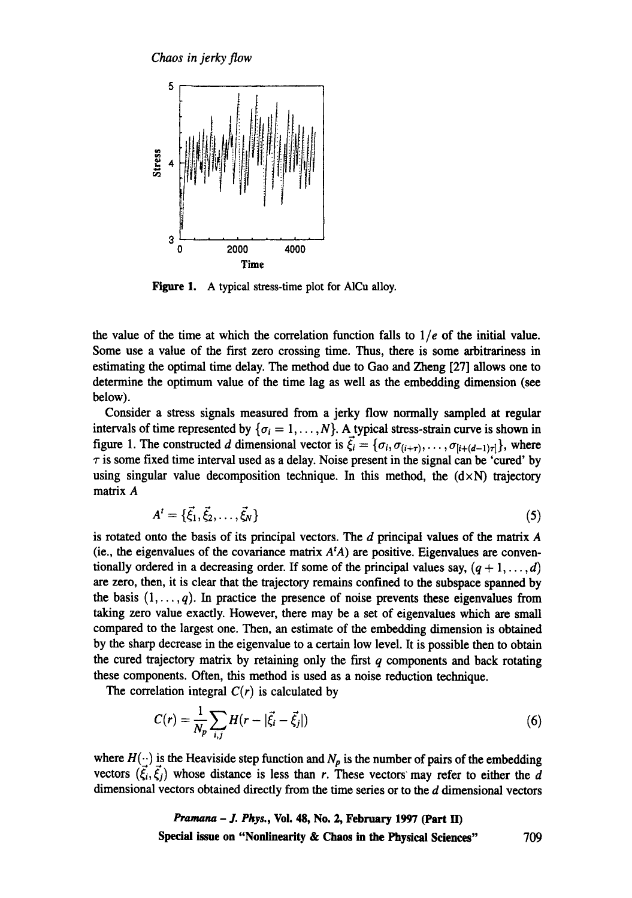*Chaos in jerky flow* 



**Figure 1.**  A typical stress-time plot for AICu alloy.

the value of the time at which the correlation function falls to  $1/e$  of the initial value. Some use a value of the first zero crossing time. Thus, there is some arbitrariness in estimating the optimal time delay. The method due to Gao and Zheng [27] allows one to determine the optimum value of the time lag as well as the embedding dimension (see below).

Consider a stress signals measured from a jerky flow normally sampled at regular intervals of time represented by  $\{\sigma_i = 1, \ldots, N\}$ . A typical stress-strain curve is shown in figure 1. The constructed d dimensional vector is  $\vec{\xi}_i = {\sigma_i, \sigma_{(i+\tau)}, \ldots, \sigma_{[i+(d-1)\tau]}}$ , where  $\tau$  is some fixed time interval used as a delay. Noise present in the signal can be 'cured' by using singular value decomposition technique. In this method, the  $(d \times N)$  trajectory matrix A

$$
A^t = \{\vec{\xi}_1, \vec{\xi}_2, \dots, \vec{\xi}_N\}
$$
 (5)

is rotated onto the basis of its principal vectors. The  $d$  principal values of the matrix  $A$ (ie., the eigenvalues of the covariance matrix *AtA) are* positive. Eigenvalues are conventionally ordered in a decreasing order. If some of the principal values say,  $(q + 1, \ldots, d)$ are zero, then, it is clear that the trajectory remains confined to the subspace spanned by the basis  $(1, \ldots, q)$ . In practice the presence of noise prevents these eigenvalues from taking zero value exactly. However, there may be a set of eigenvalues which are small compared to the largest one. Then, an estimate of the embedding dimension is obtained by the sharp decrease in the eigenvalue to a certain low level It is possible then to obtain the cured trajectory matrix by retaining only the first  $q$  components and back rotating these components. Often, this method is used as a noise reduction technique.

The correlation integral  $C(r)$  is calculated by

$$
C(r) = \frac{1}{N_p} \sum_{i,j} H(r - |\vec{\xi}_i - \vec{\xi}_j|)
$$
 (6)

where  $H(\cdot)$  is the Heaviside step function and  $N_p$  is the number of pairs of the embedding vectors  $(\vec{\xi}_i, \vec{\xi}_j)$  whose distance is less than r. These vectors' may refer to either the d dimensional vectors obtained directly from the time series or to the d dimensional vectors

> *Pramana - J. Phys.,* **Vol. 48, No. 2, February 1997 (Part ID Special issue on "Nonlinearity & Chaos in the Physical Sciences"** 709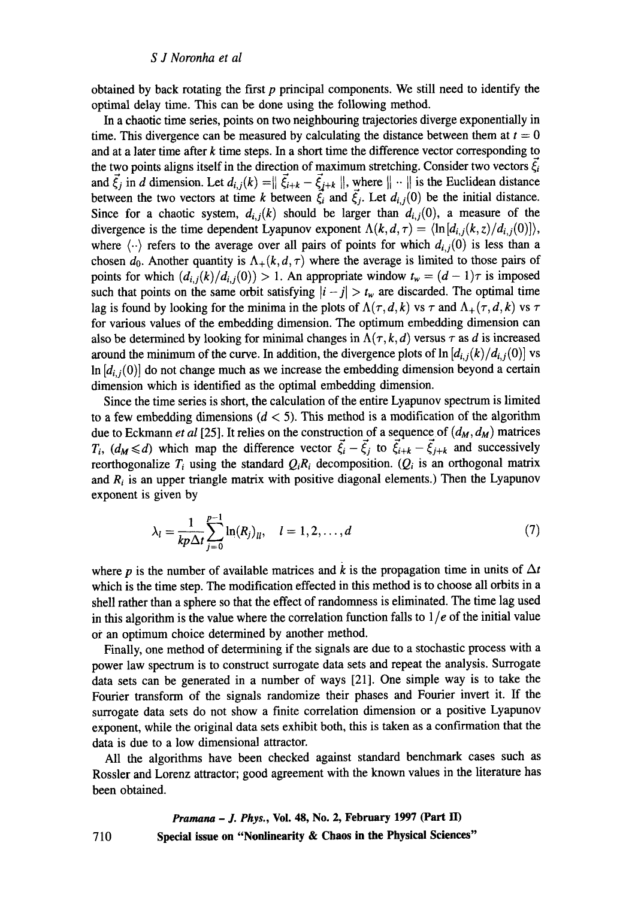obtained by back rotating the first  $p$  principal components. We still need to identify the optimal delay time. This can be done using the following method.

In a chaotic time series, points on two neighbouring trajectories diverge exponentially in time. This divergence can be measured by calculating the distance between them at  $t = 0$ and at a later time after  $k$  time steps. In a short time the difference vector corresponding to the two points aligns itself in the direction of maximum stretching. Consider two vectors  $\xi_i$ and  $\vec{\xi}_j$  in d dimension. Let  $d_{i,j}(k) = \|\vec{\xi}_{i+k} - \vec{\xi}_{j+k}\|$ , where  $\|\cdot\|$  is the Euclidean distance between the two vectors at time k between  $\vec{\xi}_i$  and  $\vec{\xi}_j$ . Let  $d_{i,j}(0)$  be the initial distance. Since for a chaotic system,  $d_{i,j}(k)$  should be larger than  $d_{i,j}(0)$ , a measure of the divergence is the time dependent Lyapunov exponent  $\Lambda(k, d, \tau) = \langle \ln |d_{i,j}(k, z)/d_{i,j}(0)| \rangle$ , where  $\langle \cdot \cdot \rangle$  refers to the average over all pairs of points for which  $d_{i,j}(0)$  is less than a chosen  $d_0$ . Another quantity is  $\Lambda_+(k, d, \tau)$  where the average is limited to those pairs of points for which  $(d_{i,j}(k)/d_{i,j}(0)) > 1$ . An appropriate window  $t_w = (d-1)\tau$  is imposed such that points on the same orbit satisfying  $|i - j| > t_w$  are discarded. The optimal time lag is found by looking for the minima in the plots of  $\Lambda(\tau, d, k)$  vs  $\tau$  and  $\Lambda_+(\tau, d, k)$  vs  $\tau$ for various values of the embedding dimension. The optimum embedding dimension can also be determined by looking for minimal changes in  $\Lambda(\tau, k, d)$  versus  $\tau$  as d is increased around the minimum of the curve. In addition, the divergence plots of  $\ln [d_{i,j}(k)/d_{i,j}(0)]$  vs  $\ln$   $[d_i, j(0)]$  do not change much as we increase the embedding dimension beyond a certain dimension which is identified as the optimal embedding dimension.

Since the time series is short, the calculation of the entire Lyapunov spectrum is limited to a few embedding dimensions  $(d < 5)$ . This method is a modification of the algorithm due to Eckmann *et al* [25]. It relies on the construction of a sequence of  $(d_M, d_M)$  matrices  $T_i$ ,  $(d_M \le d)$  which map the difference vector  $\vec{\xi}_i - \vec{\xi}_j$  to  $\vec{\xi}_{i+k} - \vec{\xi}_{j+k}$  and successively reorthogonalize  $T_i$  using the standard  $Q_iR_i$  decomposition.  $(Q_i$  is an orthogonal matrix and  $R_i$  is an upper triangle matrix with positive diagonal elements.) Then the Lyapunov exponent is given by

$$
\lambda_l = \frac{1}{kp\Delta t} \sum_{j=0}^{p-1} \ln(R_j)_{ll}, \quad l = 1, 2, ..., d
$$
 (7)

where p is the number of available matrices and k is the propagation time in units of  $\Delta t$ which is the time step. The modification effected in this method is to choose all orbits in a shell rather than a sphere so that the effect of randomness is eliminated. The time lag used in this algorithm is the value where the correlation function falls to  $1/e$  of the initial value or an optimum choice determined by another method.

Finally, one method of determining if the signals are due to a stochastic process with a power law spectrum is to construct surrogate data sets and repeat the analysis. Surrogate data sets can be generated in a number of ways [21]. One simple way is to take the Fourier transform of the signals randomize their phases and Fourier invert it. If the surrogate data sets do not show a finite correlation dimension or a positive Lyapunov exponent, while the original data sets exhibit both, this is taken as a confirmation that the data is due to a low dimensional attractor.

All the algorithms have been checked against standard benchmark cases such as Rossler and Lorenz attractor; good agreement with the known values in the literature has been obtained.

*Pranmna - J. Phys.,* **Vol. 48, No. 2, February 1997 (Part 11) Special issue on "Nonlinearity & Chaos in the Physical Sciences"** 

710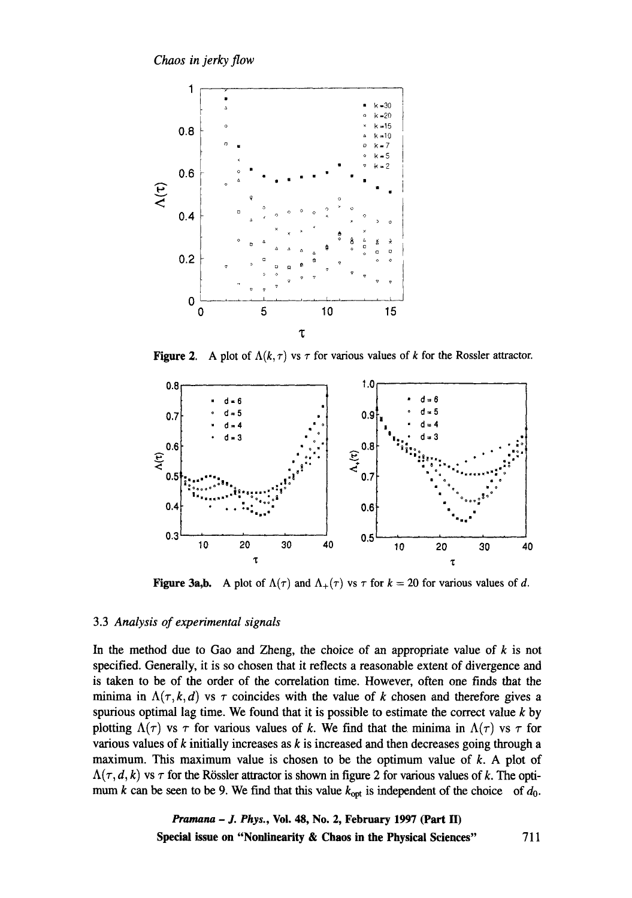

**Figure 2.** A plot of  $\Lambda(k, \tau)$  vs  $\tau$  for various values of k for the Rossler attractor.



**Figure 3a,b.** A plot of  $\Lambda(\tau)$  and  $\Lambda_+(\tau)$  vs  $\tau$  for  $k = 20$  for various values of d.

### **3.3** *Analysis of experimental signals*

**In the method due to Gao and Zheng, the choice of an appropriate value of k is not specified. Generally, it is so chosen that it reflects a reasonable extent of divergence and is taken to be of the order of the correlation time. However, often one finds that the**  minima in  $\Lambda(\tau, k, d)$  vs  $\tau$  coincides with the value of k chosen and therefore gives a **spurious optimal lag time. We found that it is possible to estimate the correct value k by**  plotting  $\Lambda(\tau)$  vs  $\tau$  for various values of k. We find that the minima in  $\Lambda(\tau)$  vs  $\tau$  for **various values of k initially increases as k is increased and then decreases going through a maximum. This maximum value is chosen to be the optimum value of k. A plot of**   $\Lambda(\tau, d, k)$  vs  $\tau$  for the Rössler attractor is shown in figure 2 for various values of k. The optimum k can be seen to be 9. We find that this value  $k_{opt}$  is independent of the choice of  $d_0$ .

> *Pramana - J. Phys.,* **Voi. 48, No. 2, February 1997 (Part H) Special issue on "Nonlinearity & Chaos in the Physical Sciences" 711**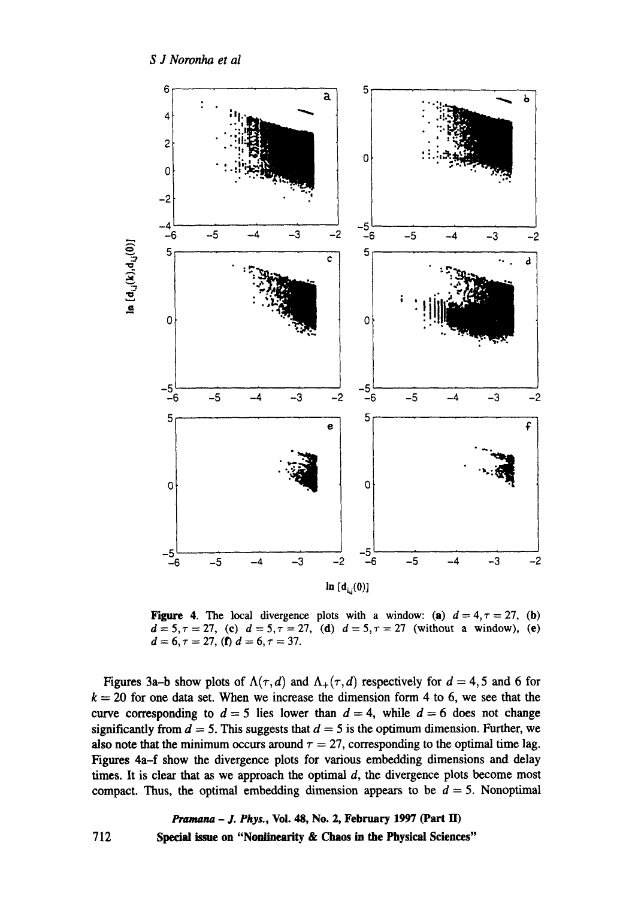

Figure 4. The local divergence plots with a window: (a)  $d = 4, \tau = 27$ , (b)  $d=5, \tau=27$ , (c)  $d=5, \tau=27$ , (d)  $d=5, \tau=27$  (without a window), (e)  $d = 6, \tau = 27,$  (f)  $d = 6, \tau = 37.$ 

Figures 3a-b show plots of  $\Lambda(\tau, d)$  and  $\Lambda_+(\tau, d)$  respectively for  $d = 4, 5$  and 6 for  $k = 20$  for one data set. When we increase the dimension form 4 to 6, we see that the curve corresponding to  $d = 5$  lies lower than  $d = 4$ , while  $d = 6$  does not change significantly from  $d = 5$ . This suggests that  $d = 5$  is the optimum dimension. Further, we also note that the minimum occurs around  $\tau = 27$ , corresponding to the optimal time lag. Figures 4a-f show the divergence plots for various embedding dimensions and delay times. It is clear that as we approach the optimal  $d$ , the divergence plots become most compact. Thus, the optimal embedding dimension appears to be  $d = 5$ . Nonoptimal

712 *Pramana - J. Phys.,* **Vol. 48, No. 2, February 1997 (Part II) Special issue on "Nonlinearity & Chaos in the Physical Sciences"**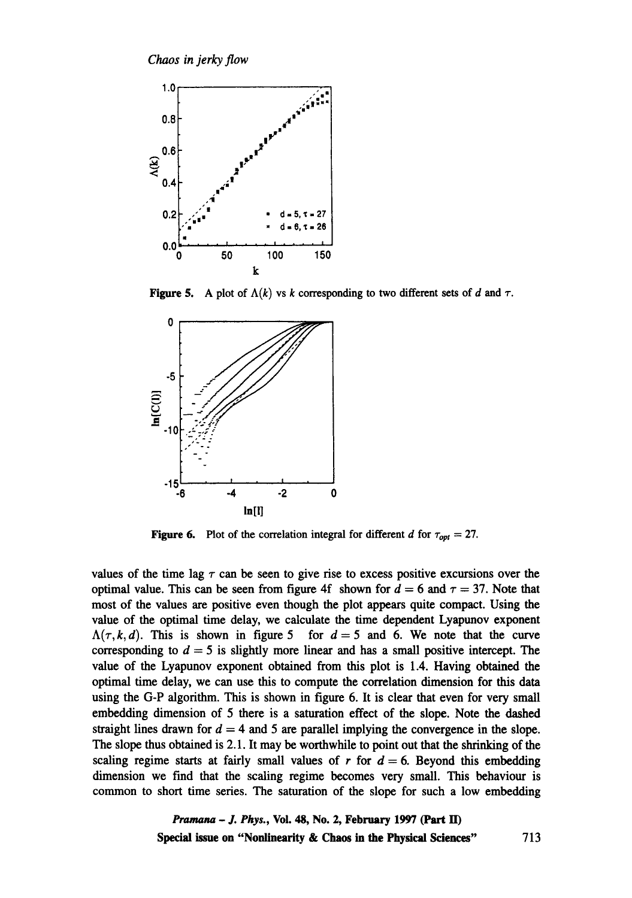

**Figure 5.** A plot of  $\Lambda(k)$  vs k corresponding to two different sets of d and  $\tau$ .



**Figure 6.** Plot of the correlation integral for different d for  $\tau_{opt} = 27$ .

values of the time lag  $\tau$  can be seen to give rise to excess positive excursions over the optimal value. This can be seen from figure 4f shown for  $d = 6$  and  $\tau = 37$ . Note that most of the values are positive even though the plot appears quite compact. Using the value of the optimal time delay, we calculate the time dependent Lyapunov exponent  $\Lambda(\tau, k, d)$ . This is shown in figure 5 for  $d = 5$  and 6. We note that the curve corresponding to  $d = 5$  is slightly more linear and has a small positive intercept. The value of the Lyapunov exponent obtained from this plot is 1.4. Having obtained the optimal time delay, we can use this to compute the correlation dimension for this data using the G-P algorithm. This is shown in figure 6. It is clear that even for very small embedding dimension of 5 there is a saturation effect of the slope. Note the dashed straight lines drawn for  $d = 4$  and 5 are parallel implying the convergence in the slope. The slope thus obtained is 2.1. It may be worthwhile to point out that the shrinking of the scaling regime starts at fairly small values of r for  $d = 6$ . Beyond this embedding dimension we find that the scaling regime becomes very small. This behaviour is common to short time series. The saturation of the slope for such a low embedding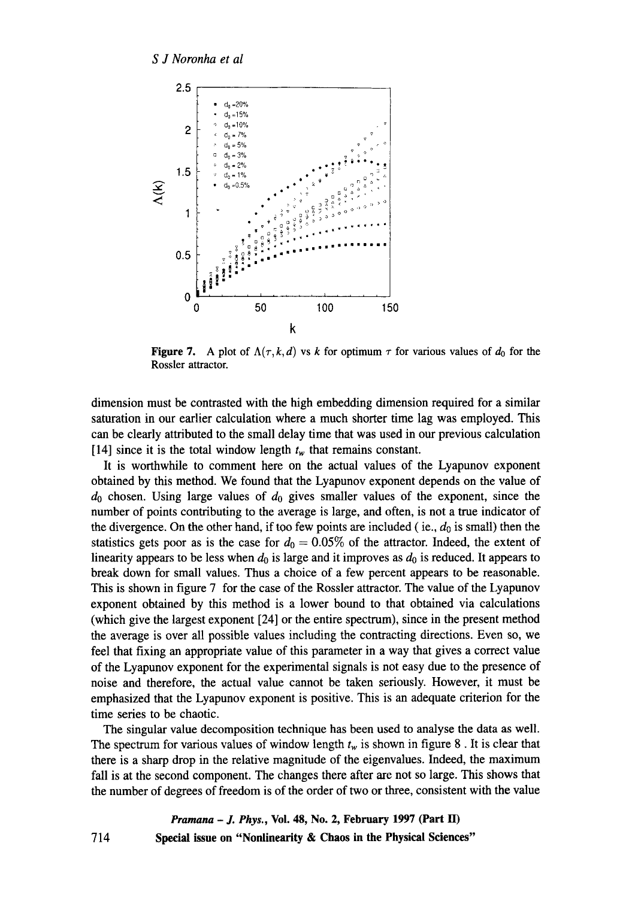

**Figure 7.** A plot of  $\Lambda(\tau, k, d)$  vs k for optimum  $\tau$  for various values of  $d_0$  for the Rossler attractor.

dimension must be contrasted with the high embedding dimension required for a similar saturation in our earlier calculation where a much shorter time lag was employed. This can be clearly attributed to the small delay time that was used in our previous calculation [14] since it is the total window length  $t_w$  that remains constant.

It is worthwhile to comment here on the actual values of the Lyapunov exponent obtained by this method. We found that the Lyapunov exponent depends on the value of  $d_0$  chosen. Using large values of  $d_0$  gives smaller values of the exponent, since the number of points contributing to the average is large, and often, is not a true indicator of the divergence. On the other hand, if too few points are included (ie.,  $d_0$  is small) then the statistics gets poor as is the case for  $d_0 = 0.05\%$  of the attractor. Indeed, the extent of linearity appears to be less when  $d_0$  is large and it improves as  $d_0$  is reduced. It appears to break down for small values. Thus a choice of a few percent appears to be reasonable. This is shown in figure 7 for the case of the Rossler attractor. The value of the Lyapunov exponent obtained by this method is a lower bound to that obtained via calculations (which give the largest exponent [24] or the entire spectrum), since in the present method the average is over all possible values including the contracting directions. Even so, we feel that fixing an appropriate value of this parameter in a way that gives a correct value of the Lyapunov exponent for the experimental signals is not easy due to the presence of noise and therefore, the actual value cannot be taken seriously. However, it must be emphasized that the Lyapunov exponent is positive. This is an adequate criterion for the time series to be chaotic.

The singular value decomposition technique has been used to analyse the data as well. The spectrum for various values of window length  $t_w$  is shown in figure 8. It is clear that there is a sharp drop in the relative magnitude of the eigenvalues. Indeed, the maximum fall is at the second component. The changes there after are not so large. This shows that the number of degrees of freedom is of the order of two or three, consistent with the value

*Pramana - J. Phys.,* **Vol. 48, No. 2, February 1997 (Part H) Special issue on "Nonlinearity & Chaos in the Physical Sciences"** 

714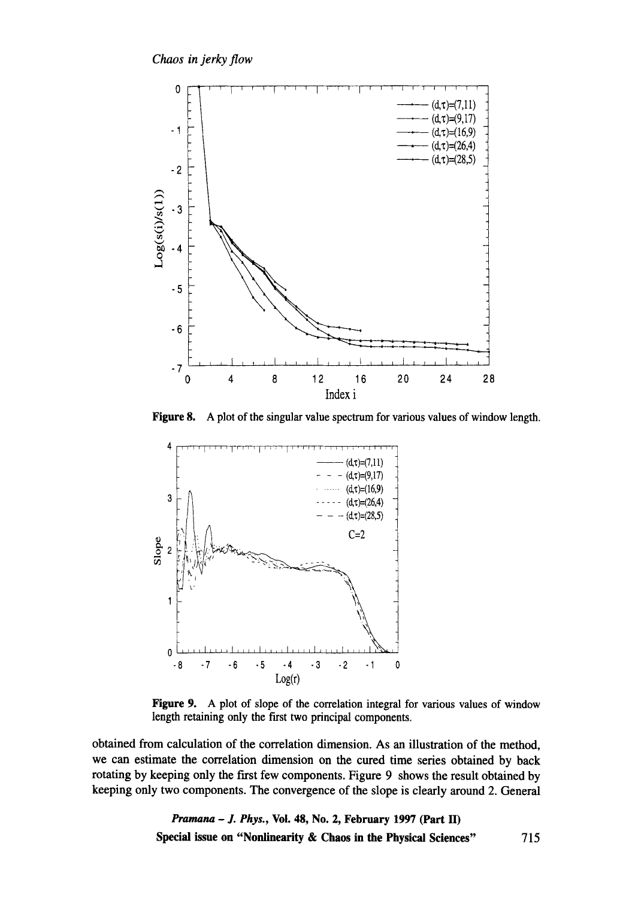

A plot of the singular value spectrum for various values of window length. **Figure 8.** 



Figure 9. A plot of slope of the correlation integral for various values of window length retaining only the first two principal components.

obtained from calculation of the correlation dimension. As an illustration of the method, we can estimate the correlation dimension on the cured time series obtained by back rotating by keeping only the first few components. Figure 9 shows the result obtained by keeping only two components. The convergence of the slope is clearly around 2. General

> *Pramana - J. Phys.,* **Vol. 48, No. 2, February 1997 (Part H) Special issue on "Nonlinearity & Chaos in the Physical Sciences"** 715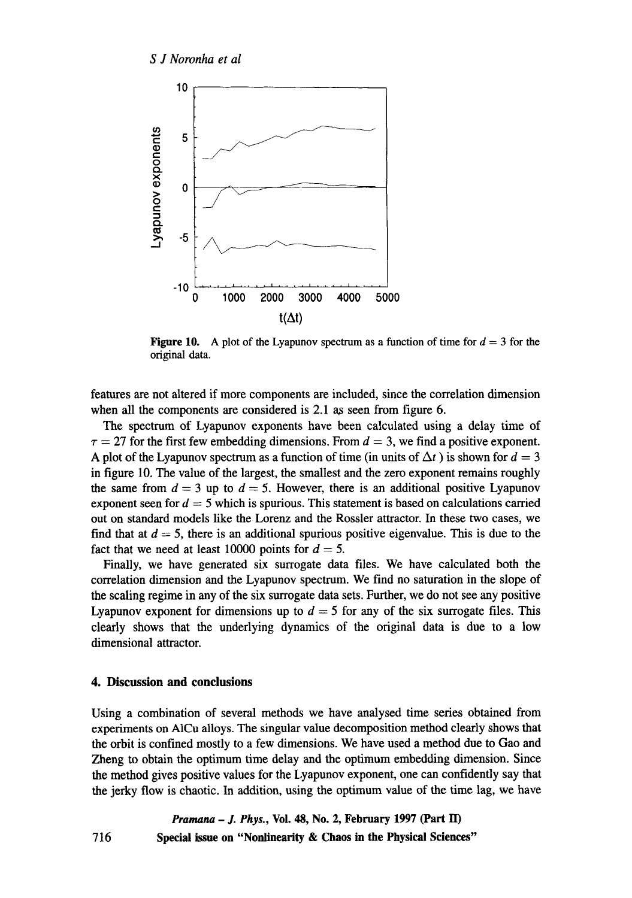

**Figure 10.** A plot of the Lyapunov spectrum as a function of time for  $d = 3$  for the original data.

features are not altered if more components are included, since the correlation dimension when all the components are considered is  $2.1$  as seen from figure 6.

The spectrum of Lyapunov exponents have been calculated using a delay time of  $\tau = 27$  for the first few embedding dimensions. From  $d = 3$ , we find a positive exponent. A plot of the Lyapunov spectrum as a function of time (in units of  $\Delta t$ ) is shown for  $d = 3$ in figure 10. The value of the largest, the smallest and the zero exponent remains roughly the same from  $d = 3$  up to  $d = 5$ . However, there is an additional positive Lyapunov exponent seen for  $d = 5$  which is spurious. This statement is based on calculations carried out on standard models like the Lorenz and the Rossler attractor. In these two cases, we find that at  $d = 5$ , there is an additional spurious positive eigenvalue. This is due to the fact that we need at least 10000 points for  $d = 5$ .

Finally, we have generated six surrogate data files. We have calculated both the correlation dimension and the Lyapunov spectrum. We find no saturation in the slope of the scaling regime in any of the six surrogate data sets. Further, we do not see any positive Lyapunov exponent for dimensions up to  $d = 5$  for any of the six surrogate files. This clearly shows that the underlying dynamics of the original data is due to a low dimensional attractor.

### **4. Discussion and conclusions**

716

Using a combination of several methods we have analysed time series obtained from experiments on A1Cu alloys. The singular value decomposition method clearly shows that the orbit is confined mostly to a few dimensions. We have used a method due to Gao and Zheng to obtain the optimum time delay and the optimum embedding dimension. Since the method gives positive values for the Lyapunov exponent, one can confidently say that the jerky flow is chaotic. In addition, using the optimum value of the time lag, we have

*Pramana - J. Phys., Vol. 48, No. 2, February 1997 (Part II)* **Special issue on "Nonlinearity & Chaos in the Physical Sciences"**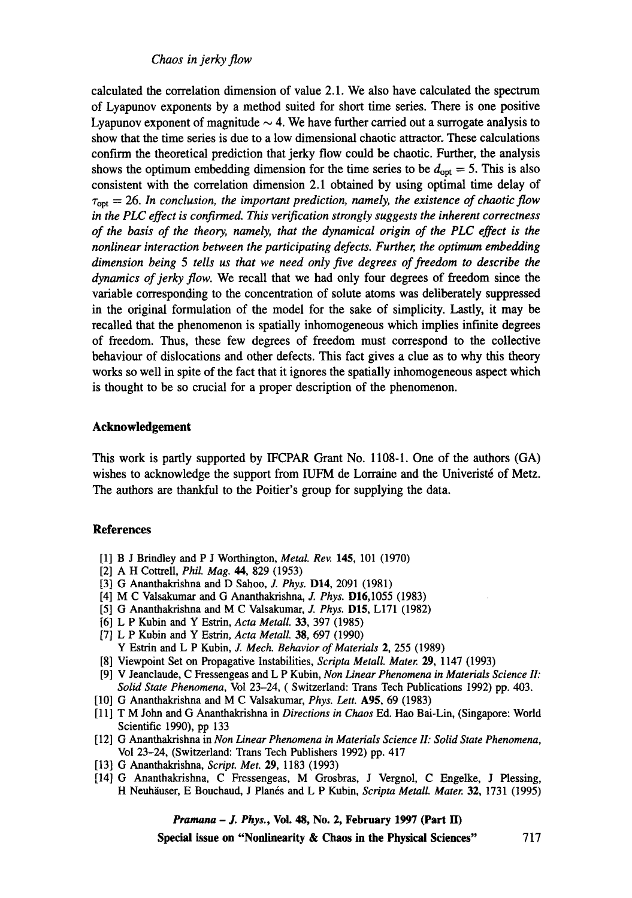*Chaos in jerky flow* 

calculated the correlation dimension of value 2.1. We also have calculated the spectrum of Lyapunov exponents by a method suited for short time series. There is one positive Lyapunov exponent of magnitude  $\sim$  4. We have further carried out a surrogate analysis to show that the time series is due to a low dimensional chaotic attractor. These calculations confirm the theoretical prediction that jerky flow could be chaotic. Further, the analysis shows the optimum embedding dimension for the time series to be  $d_{opt} = 5$ . This is also consistent with the correlation dimension 2.1 obtained by using optimal time delay of  $\tau_{opt} = 26$ . In conclusion, the important prediction, namely, the existence of chaotic flow *in the PLC effect is confirmed. This verification strongly suggests the inherent correctness of the basis of the theory, namely, that the dynamical origin of the PLC effect is the nonlinear interaction between the participating defects. Further, the optimum embedding dimension being 5 tells us that we need only five degrees of freedom to describe the dynamics of jerky flow.* We recall that we had only four degrees of freedom since the variable corresponding to the concentration of solute atoms was deliberately suppressed in the original formulation of the model for the sake of simplicity. Lastly, it may be recalled that the phenomenon is spatially inhomogeneous which implies infinite degrees of freedom. Thus, these few degrees of freedom must correspond to the collective behaviour of dislocations and other defects. This fact gives a clue as to why this theory works so well in spite of the fact that it ignores the spatially inhomogeneous aspect which is thought to be so crucial for a proper description of the phenomenon.

## **Acknowledgement**

This work is partly supported by IFCPAR Grant No. 1108-1. One of the authors (GA) wishes to acknowledge the support from IUFM de Lorraine and the Univeristé of Metz. The authors are thankful to the Poitier's group for supplying the data.

#### **References**

- [1] B J Brindley and P J Worthington, *Metal. Rev.* 145, 101 (1970)
- [2] A H Cottrell, *Phil Mag. 44,* 829 (1953)
- [3] G Ananthakrishna and D Sahoo, J. *Phys.* D14, 2091 (1981)
- [4] M C Valsakumar and G Ananthakrishna, *J. Phys.* D16,1055 (1983)
- [5] G Ananthakrishna and M C Valsakumar, *J. Phys.* D15, L171 (1982)
- [6] L P Kubin and Y Estrin, *Acta Metall.* 33, 397 (1985)
- [7] L P Kubin and Y Estrin, *Acta Metall.* 38, 697 (1990) Y Estrin and L P Kubin, *J. Mech. Behavior of Materials* 2, 255 (1989)
- [8] Viewpoint Set on Propagative Instabilities, *Scripta Metall. Mater* 29, 1147 (1993)
- [9] V Jeanclaude, C Fressengeas and L P Kubin, *Non Linear Phenomena in Materials Science II: Solid State Phenomena,* Vol 23-24, ( Switzerland: Trans Tech Publications 1992) pp. 403.
- [10] G Ananthakrishna and M C Valsakumar, *Phys. Lett.* A95, 69 (1983)
- [11] T M John and G Ananthakrishna in *Directions in Chaos* Ed. Hao Bai-Lin, (Singapore: World Scientific 1990), pp 133
- [12] G Ananthakrishna in *Non Linear Phenomena in Materials Science 11: Solid State Phenomena,*  Vol 23-24, (Switzerland: Trans Tech Publishers 1992) pp. 417
- [13] G Ananthakrishna, *Script. Met.* 29, 1183 (1993)
- [14] G Ananthakrisbna, C Fressengeas, M Grosbras, J Vergnol, C Engelke, J Plessing, H Neuh~iuser, E Bouchaud, J Plan6s and L P Kubin, *Scripta Metall. Mater* 32, 1731 (1995)

*Pramana - J. Phys.,* **Vol. 48, No. 2, February 1997 (Part H)** 

**Special issue on "Nonlinearity & Chaos in the Physical Sciences"** 717